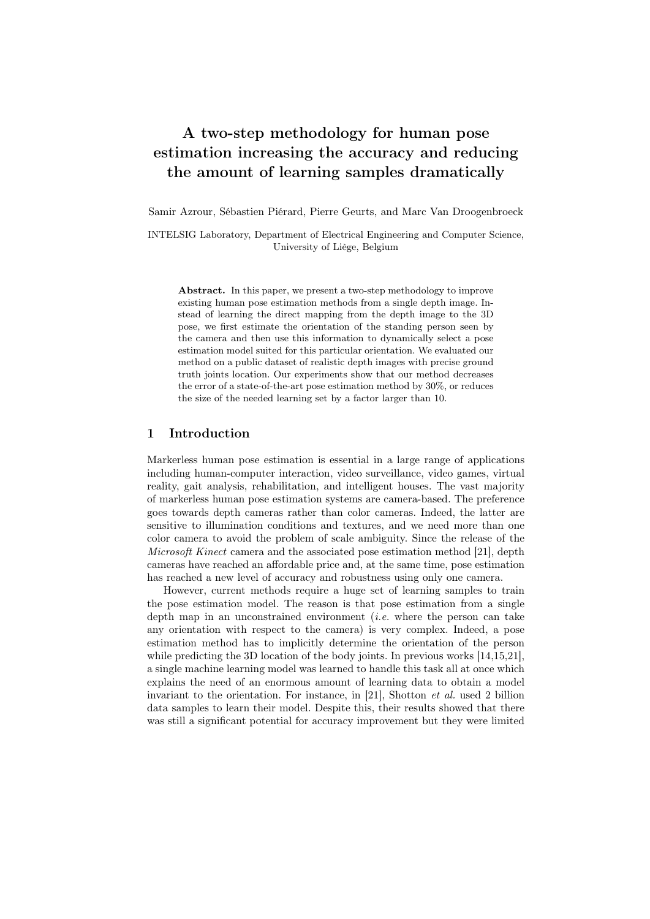# A two-step methodology for human pose estimation increasing the accuracy and reducing the amount of learning samples dramatically

Samir Azrour, Sébastien Piérard, Pierre Geurts, and Marc Van Droogenbroeck

INTELSIG Laboratory, Department of Electrical Engineering and Computer Science, University of Liège, Belgium

Abstract. In this paper, we present a two-step methodology to improve existing human pose estimation methods from a single depth image. Instead of learning the direct mapping from the depth image to the 3D pose, we first estimate the orientation of the standing person seen by the camera and then use this information to dynamically select a pose estimation model suited for this particular orientation. We evaluated our method on a public dataset of realistic depth images with precise ground truth joints location. Our experiments show that our method decreases the error of a state-of-the-art pose estimation method by 30%, or reduces the size of the needed learning set by a factor larger than 10.

## 1 Introduction

Markerless human pose estimation is essential in a large range of applications including human-computer interaction, video surveillance, video games, virtual reality, gait analysis, rehabilitation, and intelligent houses. The vast majority of markerless human pose estimation systems are camera-based. The preference goes towards depth cameras rather than color cameras. Indeed, the latter are sensitive to illumination conditions and textures, and we need more than one color camera to avoid the problem of scale ambiguity. Since the release of the Microsoft Kinect camera and the associated pose estimation method [21], depth cameras have reached an affordable price and, at the same time, pose estimation has reached a new level of accuracy and robustness using only one camera.

However, current methods require a huge set of learning samples to train the pose estimation model. The reason is that pose estimation from a single depth map in an unconstrained environment *(i.e.* where the person can take any orientation with respect to the camera) is very complex. Indeed, a pose estimation method has to implicitly determine the orientation of the person while predicting the 3D location of the body joints. In previous works [14,15,21], a single machine learning model was learned to handle this task all at once which explains the need of an enormous amount of learning data to obtain a model invariant to the orientation. For instance, in [21], Shotton et al. used 2 billion data samples to learn their model. Despite this, their results showed that there was still a significant potential for accuracy improvement but they were limited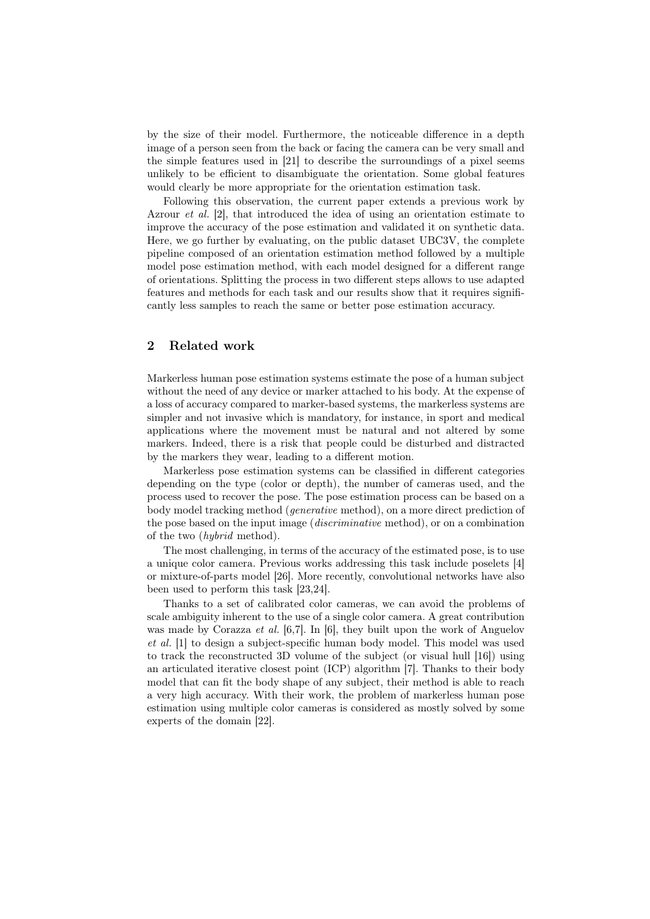by the size of their model. Furthermore, the noticeable difference in a depth image of a person seen from the back or facing the camera can be very small and the simple features used in [21] to describe the surroundings of a pixel seems unlikely to be efficient to disambiguate the orientation. Some global features would clearly be more appropriate for the orientation estimation task.

Following this observation, the current paper extends a previous work by Azrour et al. [2], that introduced the idea of using an orientation estimate to improve the accuracy of the pose estimation and validated it on synthetic data. Here, we go further by evaluating, on the public dataset UBC3V, the complete pipeline composed of an orientation estimation method followed by a multiple model pose estimation method, with each model designed for a different range of orientations. Splitting the process in two different steps allows to use adapted features and methods for each task and our results show that it requires significantly less samples to reach the same or better pose estimation accuracy.

## 2 Related work

Markerless human pose estimation systems estimate the pose of a human subject without the need of any device or marker attached to his body. At the expense of a loss of accuracy compared to marker-based systems, the markerless systems are simpler and not invasive which is mandatory, for instance, in sport and medical applications where the movement must be natural and not altered by some markers. Indeed, there is a risk that people could be disturbed and distracted by the markers they wear, leading to a different motion.

Markerless pose estimation systems can be classified in different categories depending on the type (color or depth), the number of cameras used, and the process used to recover the pose. The pose estimation process can be based on a body model tracking method (generative method), on a more direct prediction of the pose based on the input image (discriminative method), or on a combination of the two (hybrid method).

The most challenging, in terms of the accuracy of the estimated pose, is to use a unique color camera. Previous works addressing this task include poselets [4] or mixture-of-parts model [26]. More recently, convolutional networks have also been used to perform this task [23,24].

Thanks to a set of calibrated color cameras, we can avoid the problems of scale ambiguity inherent to the use of a single color camera. A great contribution was made by Corazza *et al.* [6,7]. In [6], they built upon the work of Anguelov et al. [1] to design a subject-specific human body model. This model was used to track the reconstructed 3D volume of the subject (or visual hull [16]) using an articulated iterative closest point (ICP) algorithm [7]. Thanks to their body model that can fit the body shape of any subject, their method is able to reach a very high accuracy. With their work, the problem of markerless human pose estimation using multiple color cameras is considered as mostly solved by some experts of the domain [22].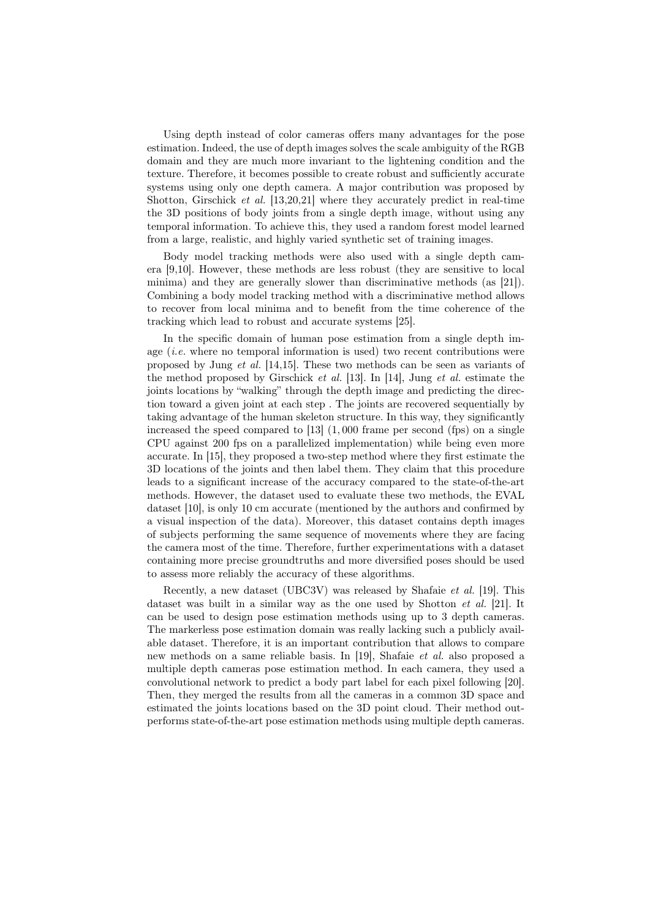Using depth instead of color cameras offers many advantages for the pose estimation. Indeed, the use of depth images solves the scale ambiguity of the RGB domain and they are much more invariant to the lightening condition and the texture. Therefore, it becomes possible to create robust and sufficiently accurate systems using only one depth camera. A major contribution was proposed by Shotton, Girschick et al. [13,20,21] where they accurately predict in real-time the 3D positions of body joints from a single depth image, without using any temporal information. To achieve this, they used a random forest model learned from a large, realistic, and highly varied synthetic set of training images.

Body model tracking methods were also used with a single depth camera [9,10]. However, these methods are less robust (they are sensitive to local minima) and they are generally slower than discriminative methods (as [21]). Combining a body model tracking method with a discriminative method allows to recover from local minima and to benefit from the time coherence of the tracking which lead to robust and accurate systems [25].

In the specific domain of human pose estimation from a single depth image  $(i.e.$  where no temporal information is used) two recent contributions were proposed by Jung et al. [14,15]. These two methods can be seen as variants of the method proposed by Girschick et al. [13]. In [14], Jung et al. estimate the joints locations by "walking" through the depth image and predicting the direction toward a given joint at each step . The joints are recovered sequentially by taking advantage of the human skeleton structure. In this way, they significantly increased the speed compared to  $[13]$   $(1,000)$  frame per second  $(fps)$  on a single CPU against 200 fps on a parallelized implementation) while being even more accurate. In [15], they proposed a two-step method where they first estimate the 3D locations of the joints and then label them. They claim that this procedure leads to a significant increase of the accuracy compared to the state-of-the-art methods. However, the dataset used to evaluate these two methods, the EVAL dataset [10], is only 10 cm accurate (mentioned by the authors and confirmed by a visual inspection of the data). Moreover, this dataset contains depth images of subjects performing the same sequence of movements where they are facing the camera most of the time. Therefore, further experimentations with a dataset containing more precise groundtruths and more diversified poses should be used to assess more reliably the accuracy of these algorithms.

Recently, a new dataset (UBC3V) was released by Shafaie et al. [19]. This dataset was built in a similar way as the one used by Shotton *et al.* [21]. It can be used to design pose estimation methods using up to 3 depth cameras. The markerless pose estimation domain was really lacking such a publicly available dataset. Therefore, it is an important contribution that allows to compare new methods on a same reliable basis. In [19], Shafaie et al. also proposed a multiple depth cameras pose estimation method. In each camera, they used a convolutional network to predict a body part label for each pixel following [20]. Then, they merged the results from all the cameras in a common 3D space and estimated the joints locations based on the 3D point cloud. Their method outperforms state-of-the-art pose estimation methods using multiple depth cameras.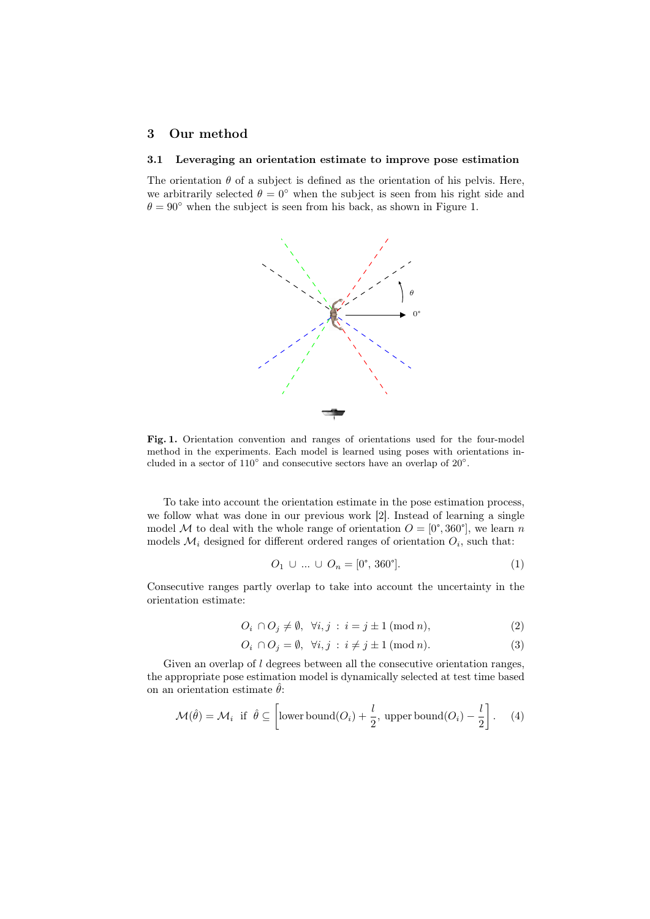## 3 Our method

## 3.1 Leveraging an orientation estimate to improve pose estimation

The orientation  $\theta$  of a subject is defined as the orientation of his pelvis. Here, we arbitrarily selected  $\theta = 0^{\circ}$  when the subject is seen from his right side and  $\theta = 90^{\circ}$  when the subject is seen from his back, as shown in Figure 1.



Fig. 1. Orientation convention and ranges of orientations used for the four-model method in the experiments. Each model is learned using poses with orientations included in a sector of  $110^{\circ}$  and consecutive sectors have an overlap of  $20^{\circ}$ .

To take into account the orientation estimate in the pose estimation process, we follow what was done in our previous work [2]. Instead of learning a single model M to deal with the whole range of orientation  $O = [0^{\circ}, 360^{\circ}]$ , we learn n models  $\mathcal{M}_i$  designed for different ordered ranges of orientation  $O_i$ , such that:

$$
O_1 \cup ... \cup O_n = [0^\circ, 360^\circ]. \tag{1}
$$

Consecutive ranges partly overlap to take into account the uncertainty in the orientation estimate:

$$
O_i \cap O_j \neq \emptyset, \ \forall i, j : i = j \pm 1 \ (\text{mod } n), \tag{2}
$$

$$
O_i \cap O_j = \emptyset, \ \forall i, j \, : \, i \neq j \pm 1 \, (\text{mod } n). \tag{3}
$$

Given an overlap of l degrees between all the consecutive orientation ranges, the appropriate pose estimation model is dynamically selected at test time based on an orientation estimate  $\hat{\theta}$ :

$$
\mathcal{M}(\hat{\theta}) = \mathcal{M}_i \text{ if } \hat{\theta} \subseteq \left[ \text{lower bound}(O_i) + \frac{l}{2}, \text{ upper bound}(O_i) - \frac{l}{2} \right]. \tag{4}
$$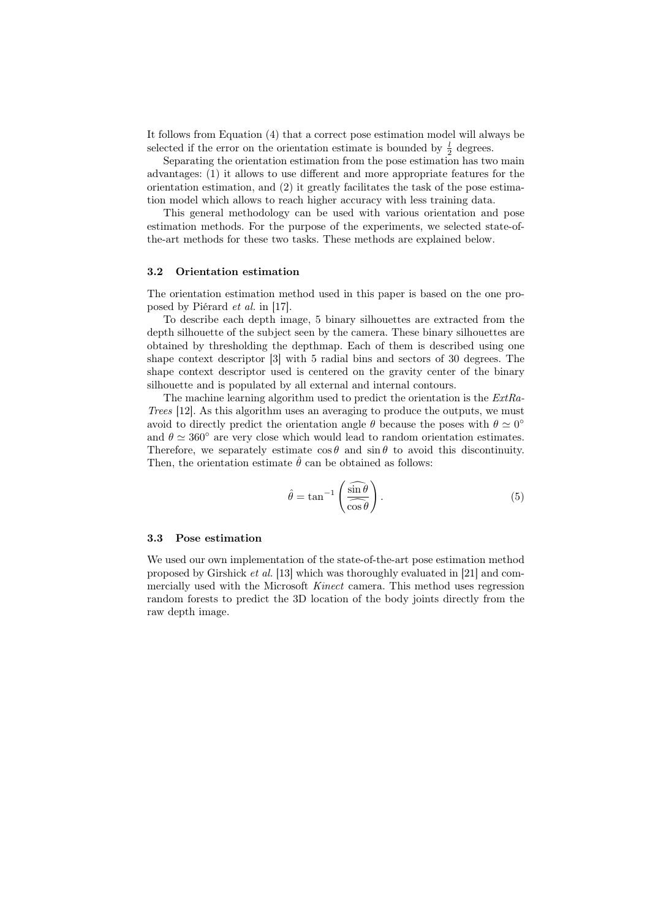It follows from Equation (4) that a correct pose estimation model will always be selected if the error on the orientation estimate is bounded by  $\frac{l}{2}$  degrees.

Separating the orientation estimation from the pose estimation has two main advantages: (1) it allows to use different and more appropriate features for the orientation estimation, and  $(2)$  it greatly facilitates the task of the pose estimation model which allows to reach higher accuracy with less training data.

This general methodology can be used with various orientation and pose estimation methods. For the purpose of the experiments, we selected state-ofthe-art methods for these two tasks. These methods are explained below.

### 3.2 Orientation estimation

The orientation estimation method used in this paper is based on the one proposed by Piérard et al. in [17].

To describe each depth image, 5 binary silhouettes are extracted from the depth silhouette of the subject seen by the camera. These binary silhouettes are obtained by thresholding the depthmap. Each of them is described using one shape context descriptor [3] with 5 radial bins and sectors of 30 degrees. The shape context descriptor used is centered on the gravity center of the binary silhouette and is populated by all external and internal contours.

The machine learning algorithm used to predict the orientation is the ExtRa-Trees [12]. As this algorithm uses an averaging to produce the outputs, we must avoid to directly predict the orientation angle  $\theta$  because the poses with  $\theta \simeq 0^{\circ}$ and  $\theta \simeq 360^{\circ}$  are very close which would lead to random orientation estimates. Therefore, we separately estimate  $\cos \theta$  and  $\sin \theta$  to avoid this discontinuity. Then, the orientation estimate  $\hat{\theta}$  can be obtained as follows:

$$
\hat{\theta} = \tan^{-1} \left( \frac{\widehat{\sin \theta}}{\widehat{\cos \theta}} \right). \tag{5}
$$

#### 3.3 Pose estimation

We used our own implementation of the state-of-the-art pose estimation method proposed by Girshick et al. [13] which was thoroughly evaluated in [21] and commercially used with the Microsoft Kinect camera. This method uses regression random forests to predict the 3D location of the body joints directly from the raw depth image.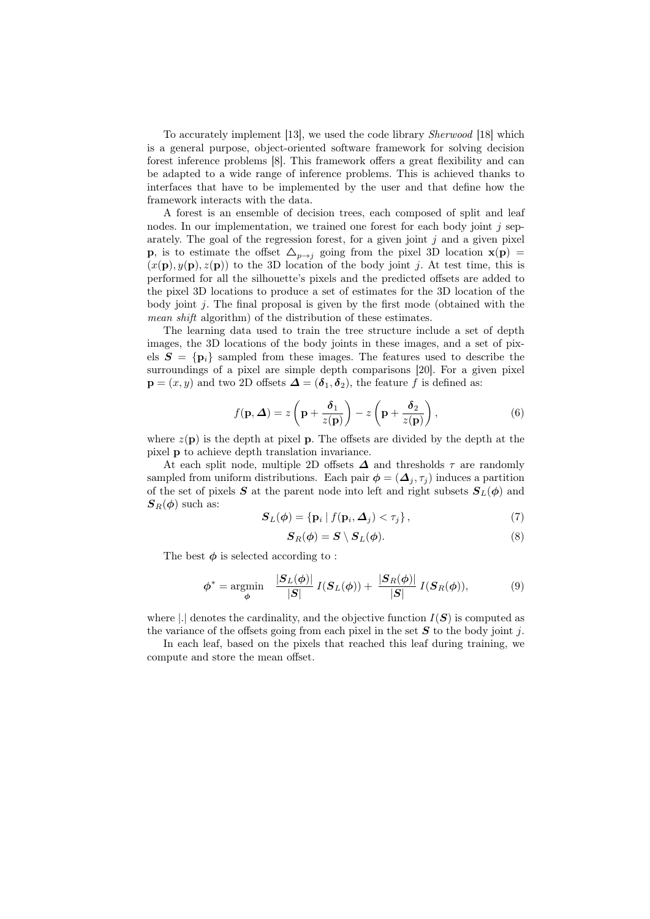To accurately implement [13], we used the code library Sherwood [18] which is a general purpose, object-oriented software framework for solving decision forest inference problems [8]. This framework offers a great flexibility and can be adapted to a wide range of inference problems. This is achieved thanks to interfaces that have to be implemented by the user and that define how the framework interacts with the data.

A forest is an ensemble of decision trees, each composed of split and leaf nodes. In our implementation, we trained one forest for each body joint  $j$  separately. The goal of the regression forest, for a given joint  $j$  and a given pixel **p**, is to estimate the offset  $\Delta_{p\rightarrow j}$  going from the pixel 3D location  $\mathbf{x}(\mathbf{p}) =$  $(x(\mathbf{p}), y(\mathbf{p}), z(\mathbf{p}))$  to the 3D location of the body joint j. At test time, this is performed for all the silhouette's pixels and the predicted offsets are added to the pixel 3D locations to produce a set of estimates for the 3D location of the body joint  $j$ . The final proposal is given by the first mode (obtained with the mean shift algorithm) of the distribution of these estimates.

The learning data used to train the tree structure include a set of depth images, the 3D locations of the body joints in these images, and a set of pixels  $S = \{p_i\}$  sampled from these images. The features used to describe the surroundings of a pixel are simple depth comparisons [20]. For a given pixel  $\mathbf{p} = (x, y)$  and two 2D offsets  $\mathbf{\Delta} = (\mathbf{\delta}_1, \mathbf{\delta}_2)$ , the feature f is defined as:

$$
f(\mathbf{p}, \Delta) = z \left( \mathbf{p} + \frac{\delta_1}{z(\mathbf{p})} \right) - z \left( \mathbf{p} + \frac{\delta_2}{z(\mathbf{p})} \right), \tag{6}
$$

where  $z(\mathbf{p})$  is the depth at pixel p. The offsets are divided by the depth at the pixel p to achieve depth translation invariance.

At each split node, multiple 2D offsets  $\Delta$  and thresholds  $\tau$  are randomly sampled from uniform distributions. Each pair  $\phi = (\Delta_i, \tau_i)$  induces a partition of the set of pixels S at the parent node into left and right subsets  $S_L(\phi)$  and  $S_R(\phi)$  such as:

$$
\mathbf{S}_{L}(\boldsymbol{\phi}) = \{ \mathbf{p}_{i} \mid f(\mathbf{p}_{i}, \boldsymbol{\Delta}_{j}) < \tau_{j} \},\tag{7}
$$

$$
\mathbf{S}_R(\boldsymbol{\phi}) = \mathbf{S} \setminus \mathbf{S}_L(\boldsymbol{\phi}). \tag{8}
$$

The best  $\phi$  is selected according to:

$$
\phi^* = \underset{\phi}{\text{argmin}} \quad \frac{|S_L(\phi)|}{|S|} \ I(S_L(\phi)) + \frac{|S_R(\phi)|}{|S|} \ I(S_R(\phi)), \tag{9}
$$

where |.| denotes the cardinality, and the objective function  $I(\mathbf{S})$  is computed as the variance of the offsets going from each pixel in the set  $S$  to the body joint j.

In each leaf, based on the pixels that reached this leaf during training, we compute and store the mean offset.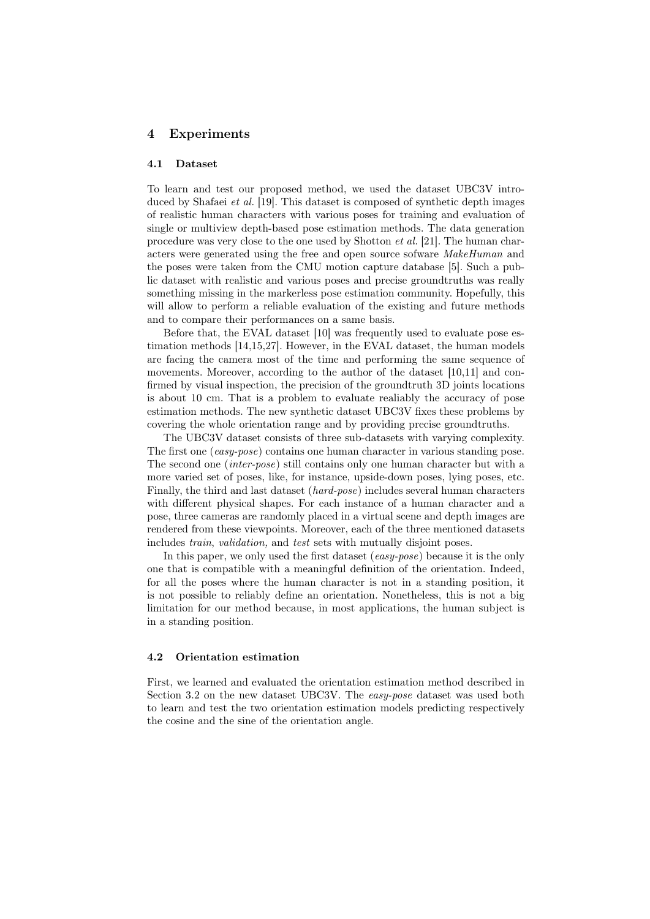## 4 Experiments

### 4.1 Dataset

To learn and test our proposed method, we used the dataset UBC3V introduced by Shafaei *et al.* [19]. This dataset is composed of synthetic depth images of realistic human characters with various poses for training and evaluation of single or multiview depth-based pose estimation methods. The data generation procedure was very close to the one used by Shotton et al. [21]. The human characters were generated using the free and open source sofware MakeHuman and the poses were taken from the CMU motion capture database [5]. Such a public dataset with realistic and various poses and precise groundtruths was really something missing in the markerless pose estimation community. Hopefully, this will allow to perform a reliable evaluation of the existing and future methods and to compare their performances on a same basis.

Before that, the EVAL dataset [10] was frequently used to evaluate pose estimation methods [14,15,27]. However, in the EVAL dataset, the human models are facing the camera most of the time and performing the same sequence of movements. Moreover, according to the author of the dataset [10,11] and confirmed by visual inspection, the precision of the groundtruth 3D joints locations is about 10 cm. That is a problem to evaluate realiably the accuracy of pose estimation methods. The new synthetic dataset UBC3V fixes these problems by covering the whole orientation range and by providing precise groundtruths.

The UBC3V dataset consists of three sub-datasets with varying complexity. The first one (easy-pose) contains one human character in various standing pose. The second one (inter-pose) still contains only one human character but with a more varied set of poses, like, for instance, upside-down poses, lying poses, etc. Finally, the third and last dataset (hard-pose) includes several human characters with different physical shapes. For each instance of a human character and a pose, three cameras are randomly placed in a virtual scene and depth images are rendered from these viewpoints. Moreover, each of the three mentioned datasets includes train, validation, and test sets with mutually disjoint poses.

In this paper, we only used the first dataset (easy-pose) because it is the only one that is compatible with a meaningful definition of the orientation. Indeed, for all the poses where the human character is not in a standing position, it is not possible to reliably define an orientation. Nonetheless, this is not a big limitation for our method because, in most applications, the human subject is in a standing position.

## 4.2 Orientation estimation

First, we learned and evaluated the orientation estimation method described in Section 3.2 on the new dataset UBC3V. The easy-pose dataset was used both to learn and test the two orientation estimation models predicting respectively the cosine and the sine of the orientation angle.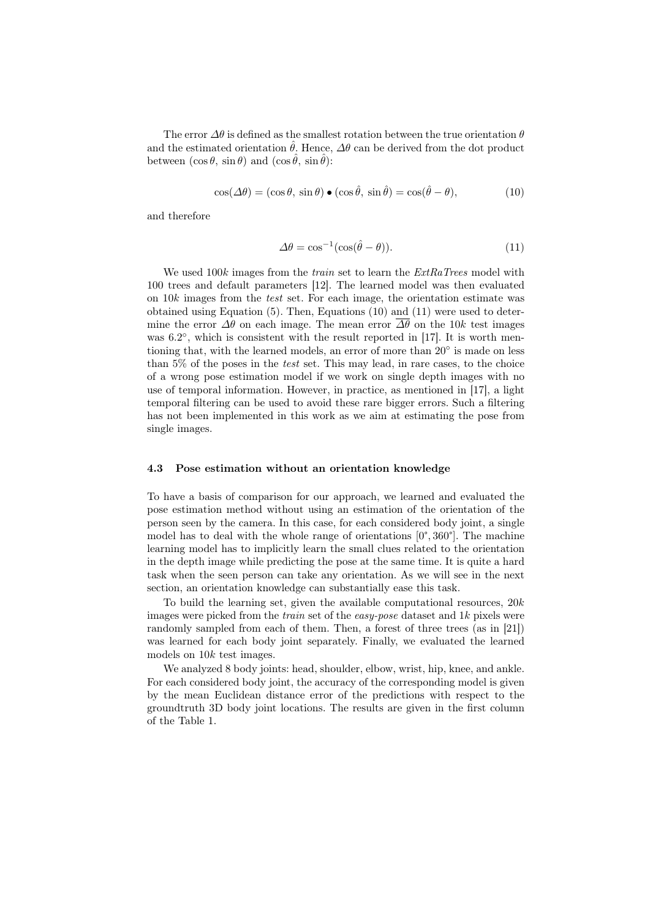The error  $\Delta\theta$  is defined as the smallest rotation between the true orientation  $\theta$ and the estimated orientation  $\hat{\theta}$ . Hence,  $\Delta\theta$  can be derived from the dot product between  $(\cos \theta, \sin \theta)$  and  $(\cos \hat{\theta}, \sin \hat{\theta})$ :

$$
\cos(\Delta\theta) = (\cos\theta, \sin\theta) \bullet (\cos\hat{\theta}, \sin\hat{\theta}) = \cos(\hat{\theta} - \theta), \tag{10}
$$

and therefore

$$
\Delta\theta = \cos^{-1}(\cos(\hat{\theta} - \theta)).\tag{11}
$$

We used  $100k$  images from the *train* set to learn the  $ExtRaTrees$  model with 100 trees and default parameters [12]. The learned model was then evaluated on 10k images from the test set. For each image, the orientation estimate was obtained using Equation (5). Then, Equations (10) and (11) were used to determine the error  $\Delta\theta$  on each image. The mean error  $\Delta\theta$  on the 10k test images was 6.2°, which is consistent with the result reported in [17]. It is worth mentioning that, with the learned models, an error of more than 20° is made on less than 5% of the poses in the test set. This may lead, in rare cases, to the choice of a wrong pose estimation model if we work on single depth images with no use of temporal information. However, in practice, as mentioned in [17], a light temporal filtering can be used to avoid these rare bigger errors. Such a filtering has not been implemented in this work as we aim at estimating the pose from single images.

#### 4.3 Pose estimation without an orientation knowledge

To have a basis of comparison for our approach, we learned and evaluated the pose estimation method without using an estimation of the orientation of the person seen by the camera. In this case, for each considered body joint, a single model has to deal with the whole range of orientations  $[0^{\circ}, 360^{\circ}]$ . The machine learning model has to implicitly learn the small clues related to the orientation in the depth image while predicting the pose at the same time. It is quite a hard task when the seen person can take any orientation. As we will see in the next section, an orientation knowledge can substantially ease this task.

To build the learning set, given the available computational resources,  $20k$ images were picked from the *train* set of the *easy-pose* dataset and  $1k$  pixels were randomly sampled from each of them. Then, a forest of three trees (as in [21]) was learned for each body joint separately. Finally, we evaluated the learned models on 10k test images.

We analyzed 8 body joints: head, shoulder, elbow, wrist, hip, knee, and ankle. For each considered body joint, the accuracy of the corresponding model is given by the mean Euclidean distance error of the predictions with respect to the groundtruth 3D body joint locations. The results are given in the first column of the Table 1.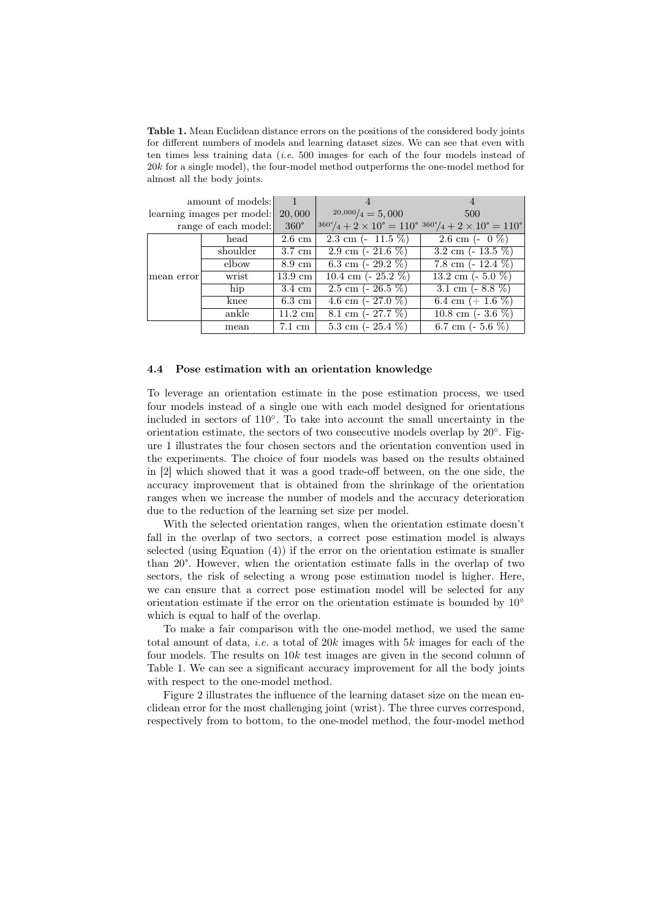Table 1. Mean Euclidean distance errors on the positions of the considered body joints for different numbers of models and learning dataset sizes. We can see that even with ten times less training data (i.e. 500 images for each of the four models instead of 20k for a single model), the four-model method outperforms the one-model method for almost all the body joints.

| amount of models:          |          |                   |                                | 4                                                                                                     |
|----------------------------|----------|-------------------|--------------------------------|-------------------------------------------------------------------------------------------------------|
| learning images per model: |          | 20,000            | $20,000/4 = 5,000$             | 500                                                                                                   |
| range of each model:       |          | $360^\circ$       |                                | $360^{\circ}/4 + 2 \times 10^{\circ} = 110^{\circ}/360^{\circ}/4 + 2 \times 10^{\circ} = 110^{\circ}$ |
| mean error                 | head     | $2.6 \text{ cm}$  | 2.3 cm $(-11.5\%)$             | 2.6 cm $(-0\%)$                                                                                       |
|                            | shoulder | $3.7 \text{ cm}$  | 2.9 cm $\left(-21.6\% \right)$ | $3.2 \text{ cm}$ (- 13.5 %)                                                                           |
|                            | elbow    | $8.9 \text{ cm}$  | 6.3 cm $(-29.2\%)$             | 7.8 cm $(-12.4\%)$                                                                                    |
|                            | wrist    | $13.9 \text{ cm}$ | 10.4 cm $(-25.2\%)$            | 13.2 cm $(-5.0\%)$                                                                                    |
|                            | hip      | $3.4 \text{ cm}$  | $2.5 \text{ cm}$ ( $-26.5\%$ ) | 3.1 cm $(-8.8\%)$                                                                                     |
|                            | knee     | $6.3 \text{ cm}$  | 4.6 cm $(-27.0\%)$             | 6.4 cm $(+1.6\%)$                                                                                     |
|                            | ankle    | $11.2 \text{ cm}$ | 8.1 cm $(-27.7\%)$             | 10.8 cm $(-3.6\%)$                                                                                    |
|                            | mean     | 7.1 cm            | 5.3 cm $(-25.4\%)$             | 6.7 cm $(-5.6\%)$                                                                                     |

#### 4.4 Pose estimation with an orientation knowledge

To leverage an orientation estimate in the pose estimation process, we used four models instead of a single one with each model designed for orientations included in sectors of 110◦ . To take into account the small uncertainty in the orientation estimate, the sectors of two consecutive models overlap by 20°. Figure 1 illustrates the four chosen sectors and the orientation convention used in the experiments. The choice of four models was based on the results obtained in [2] which showed that it was a good trade-off between, on the one side, the accuracy improvement that is obtained from the shrinkage of the orientation ranges when we increase the number of models and the accuracy deterioration due to the reduction of the learning set size per model.

With the selected orientation ranges, when the orientation estimate doesn't fall in the overlap of two sectors, a correct pose estimation model is always selected (using Equation (4)) if the error on the orientation estimate is smaller than 20°. However, when the orientation estimate falls in the overlap of two sectors, the risk of selecting a wrong pose estimation model is higher. Here, we can ensure that a correct pose estimation model will be selected for any orientation estimate if the error on the orientation estimate is bounded by 10◦ which is equal to half of the overlap.

To make a fair comparison with the one-model method, we used the same total amount of data, *i.e.* a total of 20k images with 5k images for each of the four models. The results on  $10k$  test images are given in the second column of Table 1. We can see a significant accuracy improvement for all the body joints with respect to the one-model method.

Figure 2 illustrates the influence of the learning dataset size on the mean euclidean error for the most challenging joint (wrist). The three curves correspond, respectively from to bottom, to the one-model method, the four-model method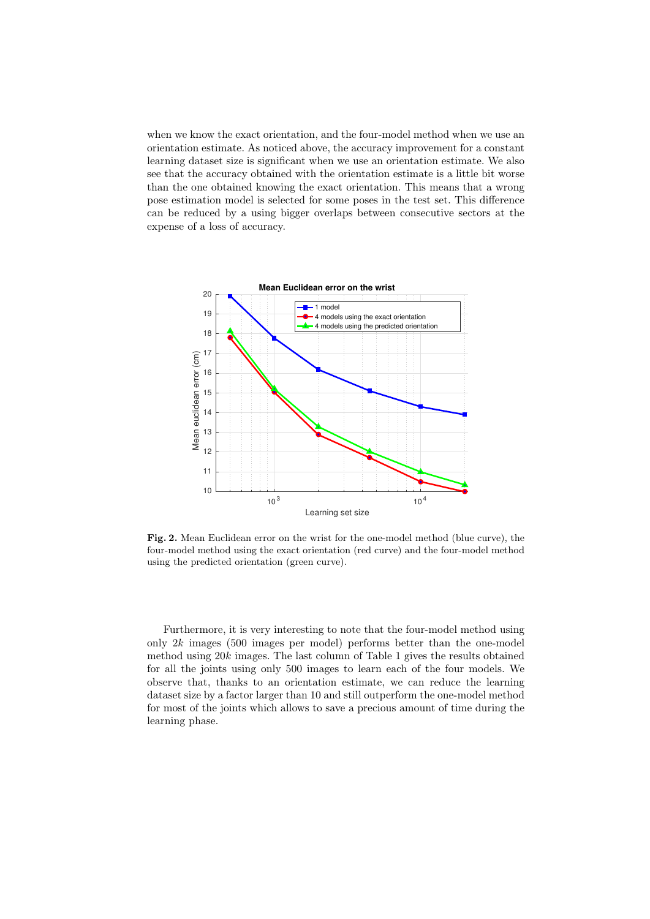when we know the exact orientation, and the four-model method when we use an orientation estimate. As noticed above, the accuracy improvement for a constant learning dataset size is significant when we use an orientation estimate. We also see that the accuracy obtained with the orientation estimate is a little bit worse than the one obtained knowing the exact orientation. This means that a wrong pose estimation model is selected for some poses in the test set. This difference can be reduced by a using bigger overlaps between consecutive sectors at the expense of a loss of accuracy.



Fig. 2. Mean Euclidean error on the wrist for the one-model method (blue curve), the four-model method using the exact orientation (red curve) and the four-model method using the predicted orientation (green curve).

Furthermore, it is very interesting to note that the four-model method using only  $2k$  images (500 images per model) performs better than the one-model method using 20k images. The last column of Table 1 gives the results obtained for all the joints using only 500 images to learn each of the four models. We observe that, thanks to an orientation estimate, we can reduce the learning dataset size by a factor larger than 10 and still outperform the one-model method for most of the joints which allows to save a precious amount of time during the learning phase.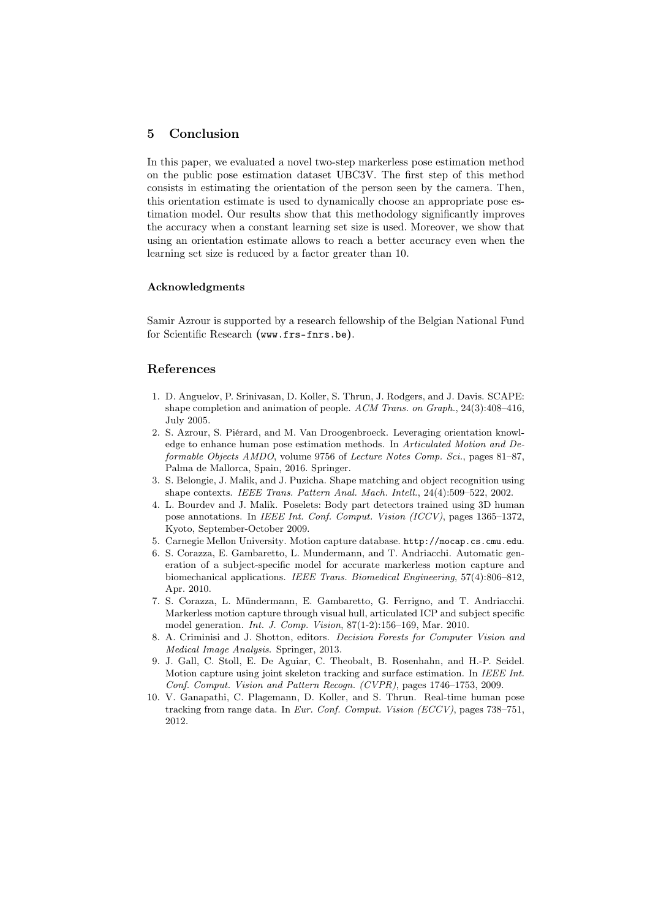## 5 Conclusion

In this paper, we evaluated a novel two-step markerless pose estimation method on the public pose estimation dataset UBC3V. The first step of this method consists in estimating the orientation of the person seen by the camera. Then, this orientation estimate is used to dynamically choose an appropriate pose estimation model. Our results show that this methodology significantly improves the accuracy when a constant learning set size is used. Moreover, we show that using an orientation estimate allows to reach a better accuracy even when the learning set size is reduced by a factor greater than 10.

### Acknowledgments

Samir Azrour is supported by a research fellowship of the Belgian National Fund for Scientific Research (www.frs-fnrs.be).

## References

- 1. D. Anguelov, P. Srinivasan, D. Koller, S. Thrun, J. Rodgers, and J. Davis. SCAPE: shape completion and animation of people. ACM Trans. on Graph., 24(3):408–416, July 2005.
- 2. S. Azrour, S. Piérard, and M. Van Droogenbroeck. Leveraging orientation knowledge to enhance human pose estimation methods. In Articulated Motion and Deformable Objects AMDO, volume 9756 of Lecture Notes Comp. Sci., pages 81–87, Palma de Mallorca, Spain, 2016. Springer.
- 3. S. Belongie, J. Malik, and J. Puzicha. Shape matching and object recognition using shape contexts. IEEE Trans. Pattern Anal. Mach. Intell., 24(4):509–522, 2002.
- 4. L. Bourdev and J. Malik. Poselets: Body part detectors trained using 3D human pose annotations. In IEEE Int. Conf. Comput. Vision (ICCV), pages 1365–1372, Kyoto, September-October 2009.
- 5. Carnegie Mellon University. Motion capture database. http://mocap.cs.cmu.edu.
- 6. S. Corazza, E. Gambaretto, L. Mundermann, and T. Andriacchi. Automatic generation of a subject-specific model for accurate markerless motion capture and biomechanical applications. IEEE Trans. Biomedical Engineering, 57(4):806–812, Apr. 2010.
- 7. S. Corazza, L. Mündermann, E. Gambaretto, G. Ferrigno, and T. Andriacchi. Markerless motion capture through visual hull, articulated ICP and subject specific model generation. Int. J. Comp. Vision, 87(1-2):156–169, Mar. 2010.
- 8. A. Criminisi and J. Shotton, editors. Decision Forests for Computer Vision and Medical Image Analysis. Springer, 2013.
- 9. J. Gall, C. Stoll, E. De Aguiar, C. Theobalt, B. Rosenhahn, and H.-P. Seidel. Motion capture using joint skeleton tracking and surface estimation. In IEEE Int. Conf. Comput. Vision and Pattern Recogn. (CVPR), pages 1746–1753, 2009.
- 10. V. Ganapathi, C. Plagemann, D. Koller, and S. Thrun. Real-time human pose tracking from range data. In Eur. Conf. Comput. Vision (ECCV), pages 738–751, 2012.